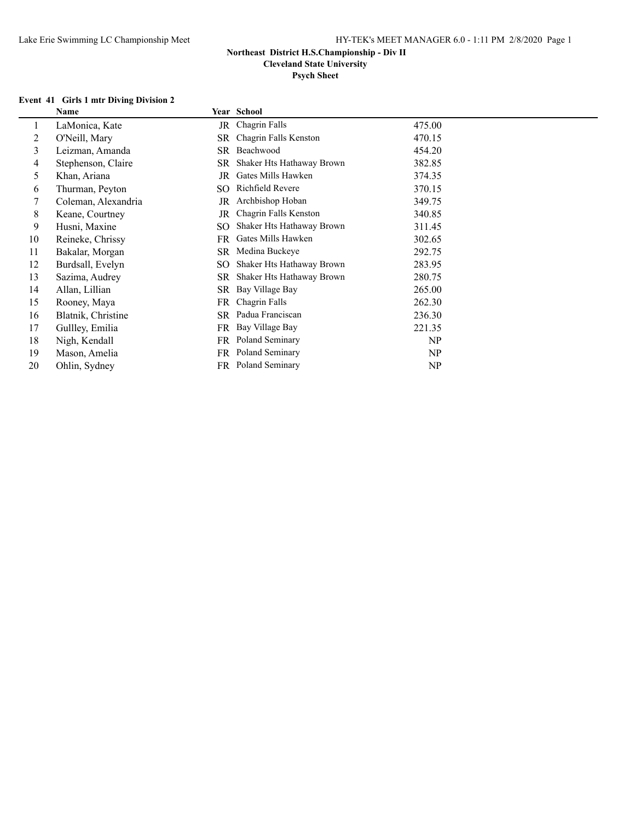**Cleveland State University**

# **Psych Sheet**

#### **Event 41 Girls 1 mtr Diving Division 2**

|    | $E$ and $\sim$ $H$ and $\sim$ $H$ and $H$ and $H$ |           |                           |        |
|----|---------------------------------------------------|-----------|---------------------------|--------|
|    | Name                                              |           | Year School               |        |
| I. | LaMonica, Kate                                    |           | JR Chagrin Falls          | 475.00 |
| 2  | O'Neill, Mary                                     | SR.       | Chagrin Falls Kenston     | 470.15 |
| 3  | Leizman, Amanda                                   | SR        | Beachwood                 | 454.20 |
| 4  | Stephenson, Claire                                | SR        | Shaker Hts Hathaway Brown | 382.85 |
| 5  | Khan, Ariana                                      | JR        | Gates Mills Hawken        | 374.35 |
| 6  | Thurman, Peyton                                   |           | SO Richfield Revere       | 370.15 |
| 7  | Coleman, Alexandria                               |           | JR Archbishop Hoban       | 349.75 |
| 8  | Keane, Courtney                                   | JR        | Chagrin Falls Kenston     | 340.85 |
| 9  | Husni, Maxine                                     | SO.       | Shaker Hts Hathaway Brown | 311.45 |
| 10 | Reineke, Chrissy                                  | FR        | Gates Mills Hawken        | 302.65 |
| 11 | Bakalar, Morgan                                   |           | SR Medina Buckeye         | 292.75 |
| 12 | Burdsall, Evelyn                                  | SO.       | Shaker Hts Hathaway Brown | 283.95 |
| 13 | Sazima, Audrey                                    | SR        | Shaker Hts Hathaway Brown | 280.75 |
| 14 | Allan, Lillian                                    | <b>SR</b> | Bay Village Bay           | 265.00 |
| 15 | Rooney, Maya                                      | FR -      | Chagrin Falls             | 262.30 |
| 16 | Blatnik, Christine                                |           | SR Padua Franciscan       | 236.30 |
| 17 | Gullley, Emilia                                   |           | FR Bay Village Bay        | 221.35 |
| 18 | Nigh, Kendall                                     |           | FR Poland Seminary        | NP     |
| 19 | Mason, Amelia                                     |           | FR Poland Seminary        | NP     |
| 20 | Ohlin, Sydney                                     |           | FR Poland Seminary        | NP     |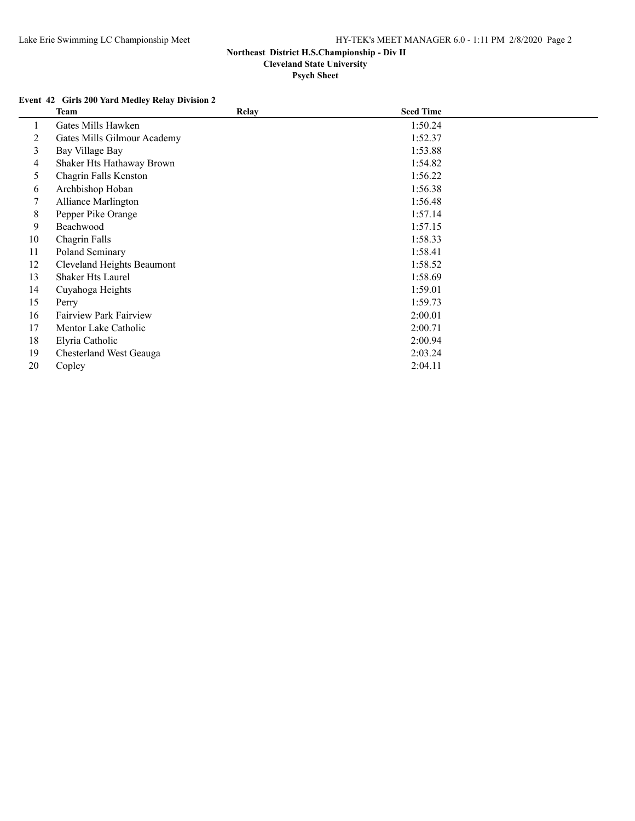**Psych Sheet**

### **Event 42 Girls 200 Yard Medley Relay Division 2**

|    | <b>Team</b>                   | <b>Relay</b> | <b>Seed Time</b> |  |
|----|-------------------------------|--------------|------------------|--|
|    | Gates Mills Hawken            |              | 1:50.24          |  |
| 2  | Gates Mills Gilmour Academy   |              | 1:52.37          |  |
| 3  | Bay Village Bay               |              | 1:53.88          |  |
| 4  | Shaker Hts Hathaway Brown     |              | 1:54.82          |  |
| 5  | Chagrin Falls Kenston         |              | 1:56.22          |  |
| 6  | Archbishop Hoban              |              | 1:56.38          |  |
| 7  | <b>Alliance Marlington</b>    |              | 1:56.48          |  |
| 8  | Pepper Pike Orange            |              | 1:57.14          |  |
| 9  | Beachwood                     |              | 1:57.15          |  |
| 10 | Chagrin Falls                 |              | 1:58.33          |  |
| 11 | Poland Seminary               |              | 1:58.41          |  |
| 12 | Cleveland Heights Beaumont    |              | 1:58.52          |  |
| 13 | <b>Shaker Hts Laurel</b>      |              | 1:58.69          |  |
| 14 | Cuvahoga Heights              |              | 1:59.01          |  |
| 15 | Perry                         |              | 1:59.73          |  |
| 16 | <b>Fairview Park Fairview</b> |              | 2:00.01          |  |
| 17 | Mentor Lake Catholic          |              | 2:00.71          |  |
| 18 | Elyria Catholic               |              | 2:00.94          |  |
| 19 | Chesterland West Geauga       |              | 2:03.24          |  |
| 20 | Copley                        |              | 2:04.11          |  |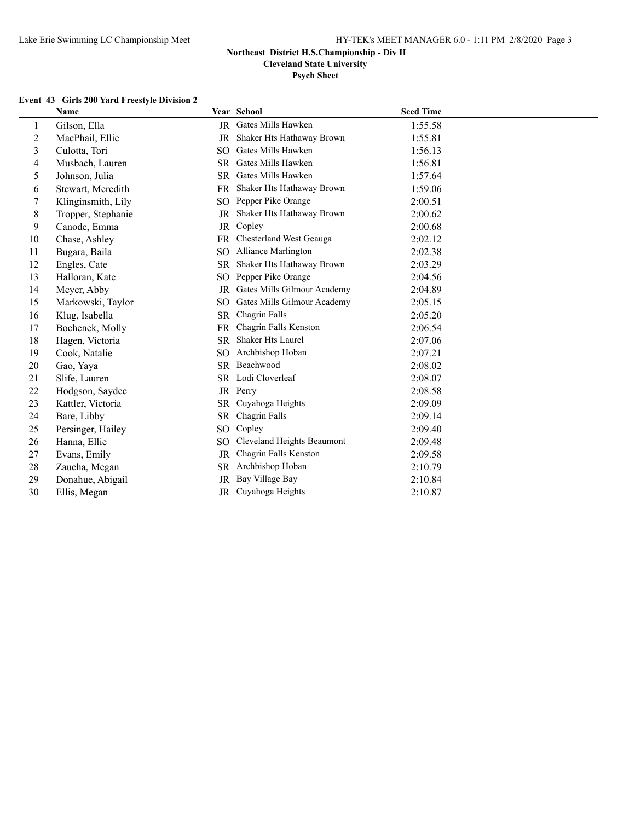**Cleveland State University**

**Psych Sheet**

### **Event 43 Girls 200 Yard Freestyle Division 2**

|    | Name               |                 | Year School                 | <b>Seed Time</b> |
|----|--------------------|-----------------|-----------------------------|------------------|
| 1  | Gilson, Ella       |                 | JR Gates Mills Hawken       | 1:55.58          |
| 2  | MacPhail, Ellie    | JR              | Shaker Hts Hathaway Brown   | 1:55.81          |
| 3  | Culotta, Tori      | SO.             | Gates Mills Hawken          | 1:56.13          |
| 4  | Musbach, Lauren    | <b>SR</b>       | Gates Mills Hawken          | 1:56.81          |
| 5  | Johnson, Julia     | SR.             | Gates Mills Hawken          | 1:57.64          |
| 6  | Stewart, Meredith  | <b>FR</b>       | Shaker Hts Hathaway Brown   | 1:59.06          |
| 7  | Klinginsmith, Lily | SO.             | Pepper Pike Orange          | 2:00.51          |
| 8  | Tropper, Stephanie | JR              | Shaker Hts Hathaway Brown   | 2:00.62          |
| 9  | Canode, Emma       | JR              | Copley                      | 2:00.68          |
| 10 | Chase, Ashley      | <b>FR</b>       | Chesterland West Geauga     | 2:02.12          |
| 11 | Bugara, Baila      | SO.             | Alliance Marlington         | 2:02.38          |
| 12 | Engles, Cate       | SR              | Shaker Hts Hathaway Brown   | 2:03.29          |
| 13 | Halloran, Kate     | SO <sub>1</sub> | Pepper Pike Orange          | 2:04.56          |
| 14 | Meyer, Abby        | JR              | Gates Mills Gilmour Academy | 2:04.89          |
| 15 | Markowski, Taylor  | SO              | Gates Mills Gilmour Academy | 2:05.15          |
| 16 | Klug, Isabella     | <b>SR</b>       | Chagrin Falls               | 2:05.20          |
| 17 | Bochenek, Molly    | FR              | Chagrin Falls Kenston       | 2:06.54          |
| 18 | Hagen, Victoria    | SR              | <b>Shaker Hts Laurel</b>    | 2:07.06          |
| 19 | Cook, Natalie      | SO.             | Archbishop Hoban            | 2:07.21          |
| 20 | Gao, Yaya          | SR.             | Beachwood                   | 2:08.02          |
| 21 | Slife, Lauren      |                 | SR Lodi Cloverleaf          | 2:08.07          |
| 22 | Hodgson, Saydee    |                 | JR Perry                    | 2:08.58          |
| 23 | Kattler, Victoria  | SR              | Cuyahoga Heights            | 2:09.09          |
| 24 | Bare, Libby        | SR              | Chagrin Falls               | 2:09.14          |
| 25 | Persinger, Hailey  | SO.             | Copley                      | 2:09.40          |
| 26 | Hanna, Ellie       | SO.             | Cleveland Heights Beaumont  | 2:09.48          |
| 27 | Evans, Emily       | JR              | Chagrin Falls Kenston       | 2:09.58          |
| 28 | Zaucha, Megan      | SR              | Archbishop Hoban            | 2:10.79          |
| 29 | Donahue, Abigail   | JR              | Bay Village Bay             | 2:10.84          |
| 30 | Ellis, Megan       |                 | JR Cuyahoga Heights         | 2:10.87          |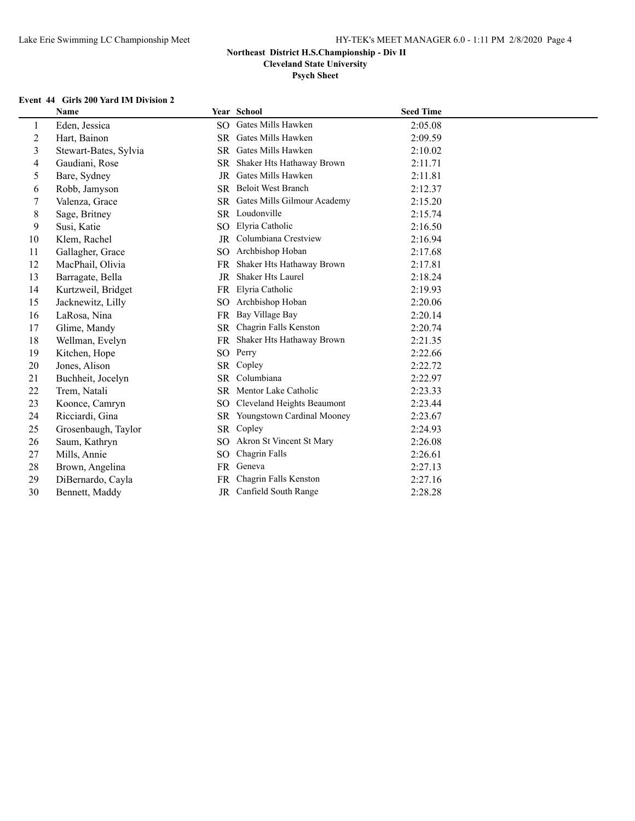**Cleveland State University**

**Psych Sheet**

### **Event 44 Girls 200 Yard IM Division 2**

|                | Name                  |                 | Year School                 | <b>Seed Time</b> |
|----------------|-----------------------|-----------------|-----------------------------|------------------|
| 1              | Eden, Jessica         | SO              | Gates Mills Hawken          | 2:05.08          |
| $\overline{2}$ | Hart, Bainon          | SR              | Gates Mills Hawken          | 2:09.59          |
| 3              | Stewart-Bates, Sylvia | <b>SR</b>       | Gates Mills Hawken          | 2:10.02          |
| 4              | Gaudiani, Rose        | <b>SR</b>       | Shaker Hts Hathaway Brown   | 2:11.71          |
| 5              | Bare, Sydney          | JR              | Gates Mills Hawken          | 2:11.81          |
| 6              | Robb, Jamyson         | <b>SR</b>       | <b>Beloit West Branch</b>   | 2:12.37          |
| 7              | Valenza, Grace        | <b>SR</b>       | Gates Mills Gilmour Academy | 2:15.20          |
| $\,8$          | Sage, Britney         |                 | SR Loudonville              | 2:15.74          |
| 9              | Susi, Katie           | SO.             | Elyria Catholic             | 2:16.50          |
| 10             | Klem, Rachel          | JR              | Columbiana Crestview        | 2:16.94          |
| 11             | Gallagher, Grace      | SO.             | Archbishop Hoban            | 2:17.68          |
| 12             | MacPhail, Olivia      | <b>FR</b>       | Shaker Hts Hathaway Brown   | 2:17.81          |
| 13             | Barragate, Bella      | JR              | <b>Shaker Hts Laurel</b>    | 2:18.24          |
| 14             | Kurtzweil, Bridget    | <b>FR</b>       | Elyria Catholic             | 2:19.93          |
| 15             | Jacknewitz, Lilly     | SO.             | Archbishop Hoban            | 2:20.06          |
| 16             | LaRosa, Nina          | FR              | Bay Village Bay             | 2:20.14          |
| 17             | Glime, Mandy          | SR.             | Chagrin Falls Kenston       | 2:20.74          |
| 18             | Wellman, Evelyn       | <b>FR</b>       | Shaker Hts Hathaway Brown   | 2:21.35          |
| 19             | Kitchen, Hope         |                 | SO Perry                    | 2:22.66          |
| 20             | Jones, Alison         | <b>SR</b>       | Copley                      | 2:22.72          |
| 21             | Buchheit, Jocelyn     | <b>SR</b>       | Columbiana                  | 2:22.97          |
| 22             | Trem, Natali          | SR.             | Mentor Lake Catholic        | 2:23.33          |
| 23             | Koonce, Camryn        | SO.             | Cleveland Heights Beaumont  | 2:23.44          |
| 24             | Ricciardi, Gina       | SR.             | Youngstown Cardinal Mooney  | 2:23.67          |
| 25             | Grosenbaugh, Taylor   | SR              | Copley                      | 2:24.93          |
| 26             | Saum, Kathryn         | SO.             | Akron St Vincent St Mary    | 2:26.08          |
| 27             | Mills, Annie          | SO <sub>1</sub> | Chagrin Falls               | 2:26.61          |
| 28             | Brown, Angelina       | FR              | Geneva                      | 2:27.13          |
| 29             | DiBernardo, Cayla     | FR.             | Chagrin Falls Kenston       | 2:27.16          |
| 30             | Bennett, Maddy        | JR              | Canfield South Range        | 2:28.28          |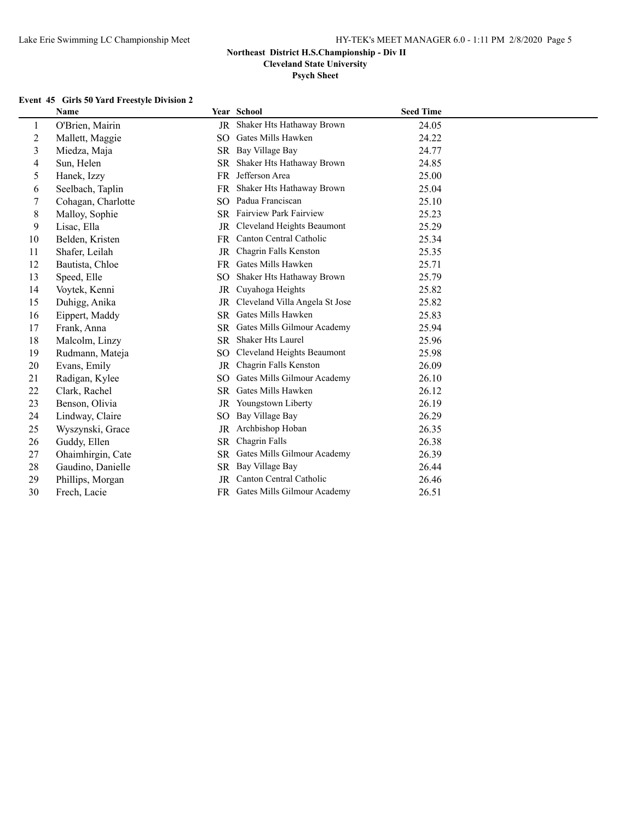**Cleveland State University**

**Psych Sheet**

#### **Event 45 Girls 50 Yard Freestyle Division 2**

|                | Name               |                 | Year School                    | <b>Seed Time</b> |
|----------------|--------------------|-----------------|--------------------------------|------------------|
| 1              | O'Brien, Mairin    | $_{\rm JR}$     | Shaker Hts Hathaway Brown      | 24.05            |
| $\overline{c}$ | Mallett, Maggie    | SO.             | Gates Mills Hawken             | 24.22            |
| 3              | Miedza, Maja       |                 | SR Bay Village Bay             | 24.77            |
| 4              | Sun, Helen         | SR              | Shaker Hts Hathaway Brown      | 24.85            |
| 5              | Hanek, Izzy        | <b>FR</b>       | Jefferson Area                 | 25.00            |
| 6              | Seelbach, Taplin   | FR              | Shaker Hts Hathaway Brown      | 25.04            |
| 7              | Cohagan, Charlotte | SO.             | Padua Franciscan               | 25.10            |
| 8              | Malloy, Sophie     |                 | SR Fairview Park Fairview      | 25.23            |
| 9              | Lisac, Ella        | JR              | Cleveland Heights Beaumont     | 25.29            |
| 10             | Belden, Kristen    | FR              | Canton Central Catholic        | 25.34            |
| 11             | Shafer, Leilah     | JR              | Chagrin Falls Kenston          | 25.35            |
| 12             | Bautista, Chloe    | FR              | Gates Mills Hawken             | 25.71            |
| 13             | Speed, Elle        | SO.             | Shaker Hts Hathaway Brown      | 25.79            |
| 14             | Voytek, Kenni      | JR              | Cuyahoga Heights               | 25.82            |
| 15             | Duhigg, Anika      | JR              | Cleveland Villa Angela St Jose | 25.82            |
| 16             | Eippert, Maddy     | SR.             | Gates Mills Hawken             | 25.83            |
| 17             | Frank, Anna        | <b>SR</b>       | Gates Mills Gilmour Academy    | 25.94            |
| 18             | Malcolm, Linzy     | <b>SR</b>       | <b>Shaker Hts Laurel</b>       | 25.96            |
| 19             | Rudmann, Mateja    | SO <sub>1</sub> | Cleveland Heights Beaumont     | 25.98            |
| 20             | Evans, Emily       | <b>JR</b>       | Chagrin Falls Kenston          | 26.09            |
| 21             | Radigan, Kylee     | SO <sub>1</sub> | Gates Mills Gilmour Academy    | 26.10            |
| 22             | Clark, Rachel      | <b>SR</b>       | Gates Mills Hawken             | 26.12            |
| 23             | Benson, Olivia     | JR              | Youngstown Liberty             | 26.19            |
| 24             | Lindway, Claire    | SO <sub>1</sub> | Bay Village Bay                | 26.29            |
| 25             | Wyszynski, Grace   |                 | JR Archbishop Hoban            | 26.35            |
| 26             | Guddy, Ellen       | SR              | Chagrin Falls                  | 26.38            |
| 27             | Ohaimhirgin, Cate  | SR              | Gates Mills Gilmour Academy    | 26.39            |
| 28             | Gaudino, Danielle  | <b>SR</b>       | Bay Village Bay                | 26.44            |
| 29             | Phillips, Morgan   | <b>JR</b>       | Canton Central Catholic        | 26.46            |
| 30             | Frech, Lacie       |                 | FR Gates Mills Gilmour Academy | 26.51            |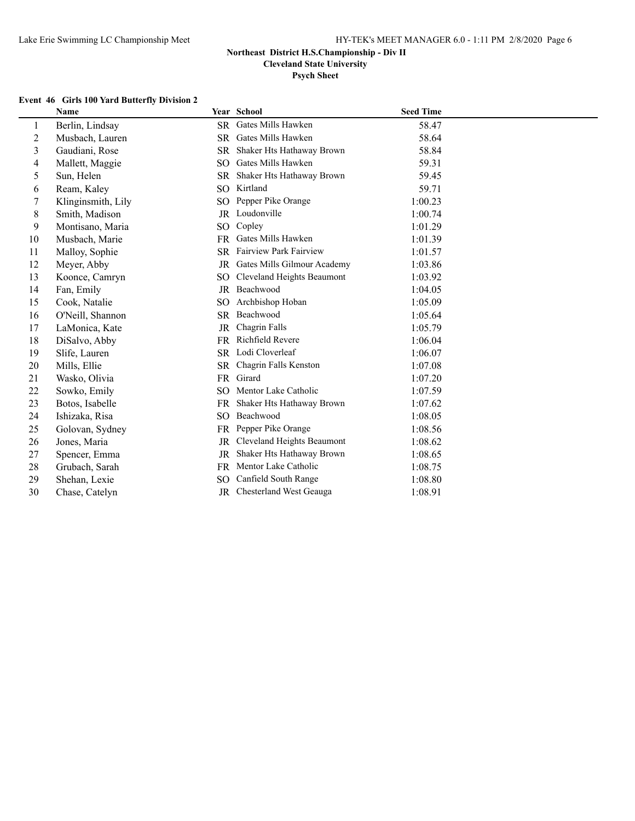**Cleveland State University**

**Psych Sheet**

### **Event 46 Girls 100 Yard Butterfly Division 2**

|                | Name               |                 | Year School                 | <b>Seed Time</b> |
|----------------|--------------------|-----------------|-----------------------------|------------------|
| 1              | Berlin, Lindsay    | <b>SR</b>       | Gates Mills Hawken          | 58.47            |
| $\overline{c}$ | Musbach, Lauren    | <b>SR</b>       | Gates Mills Hawken          | 58.64            |
| 3              | Gaudiani, Rose     | <b>SR</b>       | Shaker Hts Hathaway Brown   | 58.84            |
| 4              | Mallett, Maggie    | SO <sub>1</sub> | Gates Mills Hawken          | 59.31            |
| 5              | Sun, Helen         | <b>SR</b>       | Shaker Hts Hathaway Brown   | 59.45            |
| 6              | Ream, Kaley        | SO.             | Kirtland                    | 59.71            |
| 7              | Klinginsmith, Lily |                 | SO Pepper Pike Orange       | 1:00.23          |
| 8              | Smith, Madison     |                 | JR Loudonville              | 1:00.74          |
| 9              | Montisano, Maria   | SO.             | Copley                      | 1:01.29          |
| 10             | Musbach, Marie     | FR.             | Gates Mills Hawken          | 1:01.39          |
| 11             | Malloy, Sophie     |                 | SR Fairview Park Fairview   | 1:01.57          |
| 12             | Meyer, Abby        | JR              | Gates Mills Gilmour Academy | 1:03.86          |
| 13             | Koonce, Camryn     | SO.             | Cleveland Heights Beaumont  | 1:03.92          |
| 14             | Fan, Emily         |                 | JR Beachwood                | 1:04.05          |
| 15             | Cook, Natalie      | SO.             | Archbishop Hoban            | 1:05.09          |
| 16             | O'Neill, Shannon   | <b>SR</b>       | Beachwood                   | 1:05.64          |
| 17             | LaMonica, Kate     | JR              | Chagrin Falls               | 1:05.79          |
| 18             | DiSalvo, Abby      | <b>FR</b>       | Richfield Revere            | 1:06.04          |
| 19             | Slife, Lauren      |                 | SR Lodi Cloverleaf          | 1:06.07          |
| 20             | Mills, Ellie       |                 | SR Chagrin Falls Kenston    | 1:07.08          |
| 21             | Wasko, Olivia      |                 | FR Girard                   | 1:07.20          |
| 22             | Sowko, Emily       | SO.             | Mentor Lake Catholic        | 1:07.59          |
| 23             | Botos, Isabelle    | FR.             | Shaker Hts Hathaway Brown   | 1:07.62          |
| 24             | Ishizaka, Risa     | $SO_{\odot}$    | Beachwood                   | 1:08.05          |
| 25             | Golovan, Sydney    |                 | FR Pepper Pike Orange       | 1:08.56          |
| 26             | Jones, Maria       | JR              | Cleveland Heights Beaumont  | 1:08.62          |
| 27             | Spencer, Emma      | JR              | Shaker Hts Hathaway Brown   | 1:08.65          |
| 28             | Grubach, Sarah     | FR              | Mentor Lake Catholic        | 1:08.75          |
| 29             | Shehan, Lexie      | SO.             | Canfield South Range        | 1:08.80          |
| 30             | Chase, Catelyn     |                 | JR Chesterland West Geauga  | 1:08.91          |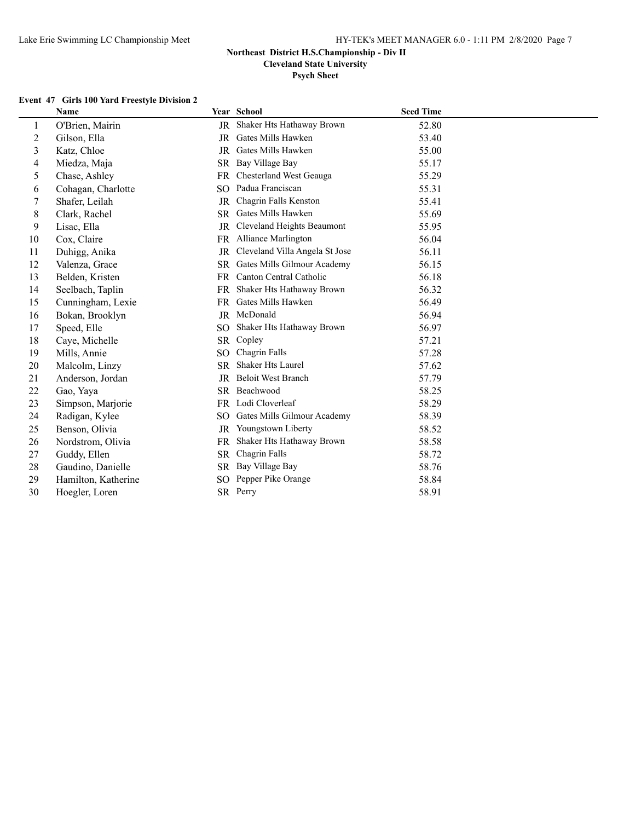**Cleveland State University**

### **Psych Sheet**

### **Event 47 Girls 100 Yard Freestyle Division 2**

|                | Name                |           | Year School                    | <b>Seed Time</b> |
|----------------|---------------------|-----------|--------------------------------|------------------|
| 1              | O'Brien, Mairin     | JR        | Shaker Hts Hathaway Brown      | 52.80            |
| $\overline{2}$ | Gilson, Ella        | JR        | Gates Mills Hawken             | 53.40            |
| $\overline{3}$ | Katz, Chloe         | JR        | Gates Mills Hawken             | 55.00            |
| 4              | Miedza, Maja        |           | SR Bay Village Bay             | 55.17            |
| 5              | Chase, Ashley       | <b>FR</b> | Chesterland West Geauga        | 55.29            |
| 6              | Cohagan, Charlotte  | SO.       | Padua Franciscan               | 55.31            |
| 7              | Shafer, Leilah      | <b>JR</b> | Chagrin Falls Kenston          | 55.41            |
| 8              | Clark, Rachel       | <b>SR</b> | Gates Mills Hawken             | 55.69            |
| 9              | Lisac, Ella         | JR        | Cleveland Heights Beaumont     | 55.95            |
| 10             | Cox, Claire         |           | FR Alliance Marlington         | 56.04            |
| 11             | Duhigg, Anika       | JR        | Cleveland Villa Angela St Jose | 56.11            |
| 12             | Valenza, Grace      | <b>SR</b> | Gates Mills Gilmour Academy    | 56.15            |
| 13             | Belden, Kristen     | FR        | Canton Central Catholic        | 56.18            |
| 14             | Seelbach, Taplin    | <b>FR</b> | Shaker Hts Hathaway Brown      | 56.32            |
| 15             | Cunningham, Lexie   | FR        | Gates Mills Hawken             | 56.49            |
| 16             | Bokan, Brooklyn     |           | JR McDonald                    | 56.94            |
| 17             | Speed, Elle         | SO.       | Shaker Hts Hathaway Brown      | 56.97            |
| 18             | Caye, Michelle      | <b>SR</b> | Copley                         | 57.21            |
| 19             | Mills, Annie        | SO.       | Chagrin Falls                  | 57.28            |
| 20             | Malcolm, Linzy      | <b>SR</b> | <b>Shaker Hts Laurel</b>       | 57.62            |
| 21             | Anderson, Jordan    | JR        | <b>Beloit West Branch</b>      | 57.79            |
| 22             | Gao, Yaya           |           | SR Beachwood                   | 58.25            |
| 23             | Simpson, Marjorie   |           | FR Lodi Cloverleaf             | 58.29            |
| 24             | Radigan, Kylee      | SO.       | Gates Mills Gilmour Academy    | 58.39            |
| 25             | Benson, Olivia      | JR        | Youngstown Liberty             | 58.52            |
| 26             | Nordstrom, Olivia   | <b>FR</b> | Shaker Hts Hathaway Brown      | 58.58            |
| 27             | Guddy, Ellen        | <b>SR</b> | Chagrin Falls                  | 58.72            |
| 28             | Gaudino, Danielle   | SR.       | Bay Village Bay                | 58.76            |
| 29             | Hamilton, Katherine | SO.       | Pepper Pike Orange             | 58.84            |
| 30             | Hoegler, Loren      |           | SR Perry                       | 58.91            |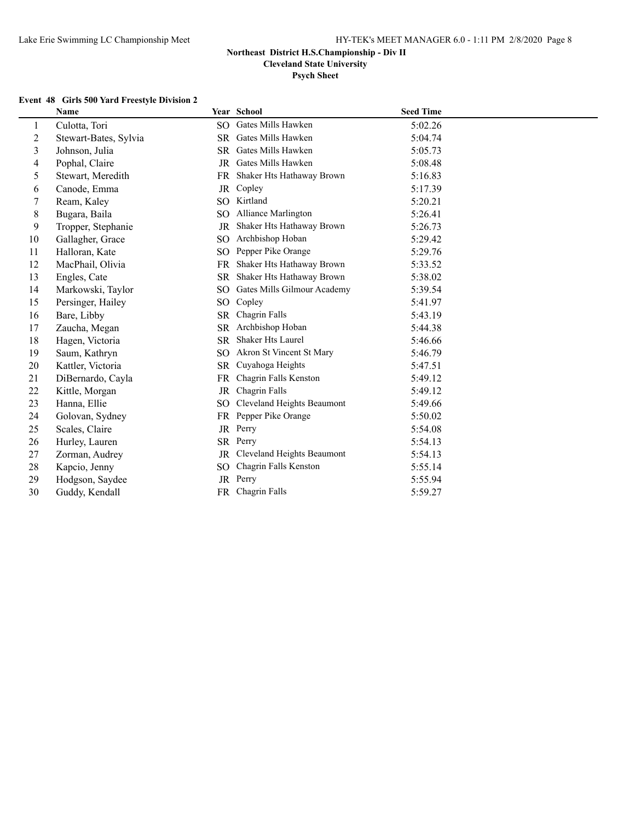**Cleveland State University**

**Psych Sheet**

#### **Event 48 Girls 500 Yard Freestyle Division 2**

|                         | <b>Name</b>           |           | Year School                 | <b>Seed Time</b> |
|-------------------------|-----------------------|-----------|-----------------------------|------------------|
| 1                       | Culotta, Tori         | SO.       | Gates Mills Hawken          | 5:02.26          |
| $\overline{c}$          | Stewart-Bates, Sylvia | SR        | Gates Mills Hawken          | 5:04.74          |
| $\overline{\mathbf{3}}$ | Johnson, Julia        | SR        | Gates Mills Hawken          | 5:05.73          |
| 4                       | Pophal, Claire        |           | JR Gates Mills Hawken       | 5:08.48          |
| 5                       | Stewart, Meredith     | FR.       | Shaker Hts Hathaway Brown   | 5:16.83          |
| 6                       | Canode, Emma          | JR        | Copley                      | 5:17.39          |
| 7                       | Ream, Kaley           | SO.       | Kirtland                    | 5:20.21          |
| 8                       | Bugara, Baila         | SO.       | Alliance Marlington         | 5:26.41          |
| 9                       | Tropper, Stephanie    | JR        | Shaker Hts Hathaway Brown   | 5:26.73          |
| 10                      | Gallagher, Grace      | SO.       | Archbishop Hoban            | 5:29.42          |
| 11                      | Halloran, Kate        | SO.       | Pepper Pike Orange          | 5:29.76          |
| 12                      | MacPhail, Olivia      | <b>FR</b> | Shaker Hts Hathaway Brown   | 5:33.52          |
| 13                      | Engles, Cate          | <b>SR</b> | Shaker Hts Hathaway Brown   | 5:38.02          |
| 14                      | Markowski, Taylor     | SO.       | Gates Mills Gilmour Academy | 5:39.54          |
| 15                      | Persinger, Hailey     | SO.       | Copley                      | 5:41.97          |
| 16                      | Bare, Libby           | SR.       | Chagrin Falls               | 5:43.19          |
| 17                      | Zaucha, Megan         | SR        | Archbishop Hoban            | 5:44.38          |
| 18                      | Hagen, Victoria       | <b>SR</b> | <b>Shaker Hts Laurel</b>    | 5:46.66          |
| 19                      | Saum, Kathryn         | SO.       | Akron St Vincent St Mary    | 5:46.79          |
| 20                      | Kattler, Victoria     | SR        | Cuyahoga Heights            | 5:47.51          |
| 21                      | DiBernardo, Cayla     | FR.       | Chagrin Falls Kenston       | 5:49.12          |
| 22                      | Kittle, Morgan        | JR        | Chagrin Falls               | 5:49.12          |
| 23                      | Hanna, Ellie          | SO.       | Cleveland Heights Beaumont  | 5:49.66          |
| 24                      | Golovan, Sydney       | <b>FR</b> | Pepper Pike Orange          | 5:50.02          |
| 25                      | Scales, Claire        |           | JR Perry                    | 5:54.08          |
| 26                      | Hurley, Lauren        |           | SR Perry                    | 5:54.13          |
| 27                      | Zorman, Audrey        | JR        | Cleveland Heights Beaumont  | 5:54.13          |
| 28                      | Kapcio, Jenny         | SO.       | Chagrin Falls Kenston       | 5:55.14          |
| 29                      | Hodgson, Saydee       | JR        | Perry                       | 5:55.94          |
| 30                      | Guddy, Kendall        |           | FR Chagrin Falls            | 5:59.27          |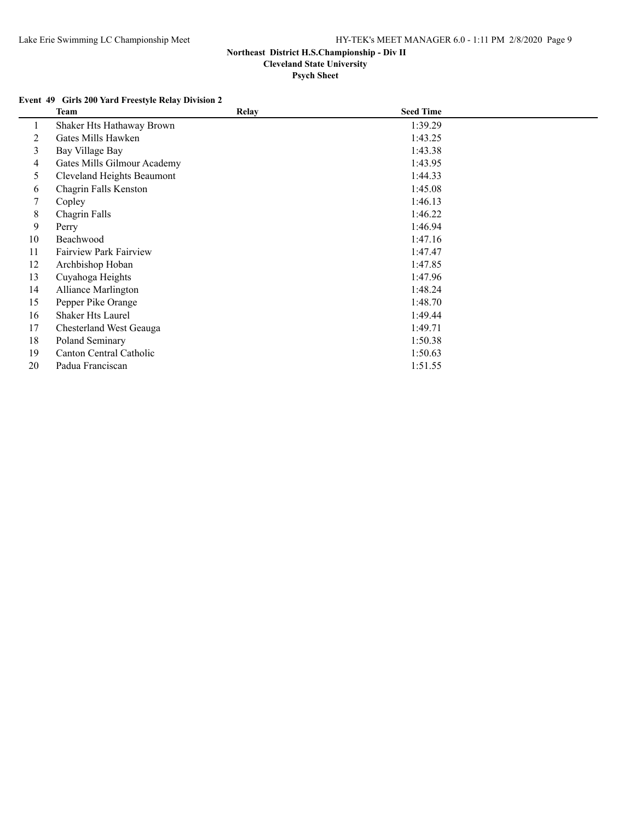**Psych Sheet**

### **Event 49 Girls 200 Yard Freestyle Relay Division 2**

|    | <b>Team</b>                   | <b>Relay</b> | <b>Seed Time</b> |  |
|----|-------------------------------|--------------|------------------|--|
|    | Shaker Hts Hathaway Brown     |              | 1:39.29          |  |
| 2  | Gates Mills Hawken            |              | 1:43.25          |  |
| 3  | Bay Village Bay               |              | 1:43.38          |  |
| 4  | Gates Mills Gilmour Academy   |              | 1:43.95          |  |
| 5  | Cleveland Heights Beaumont    |              | 1:44.33          |  |
| 6  | Chagrin Falls Kenston         |              | 1:45.08          |  |
| 7  | Copley                        |              | 1:46.13          |  |
| 8  | Chagrin Falls                 |              | 1:46.22          |  |
| 9  | Perry                         |              | 1:46.94          |  |
| 10 | Beachwood                     |              | 1:47.16          |  |
| 11 | <b>Fairview Park Fairview</b> |              | 1:47.47          |  |
| 12 | Archbishop Hoban              |              | 1:47.85          |  |
| 13 | Cuyahoga Heights              |              | 1:47.96          |  |
| 14 | <b>Alliance Marlington</b>    |              | 1:48.24          |  |
| 15 | Pepper Pike Orange            |              | 1:48.70          |  |
| 16 | <b>Shaker Hts Laurel</b>      |              | 1:49.44          |  |
| 17 | Chesterland West Geauga       |              | 1:49.71          |  |
| 18 | Poland Seminary               |              | 1:50.38          |  |
| 19 | Canton Central Catholic       |              | 1:50.63          |  |
| 20 | Padua Franciscan              |              | 1:51.55          |  |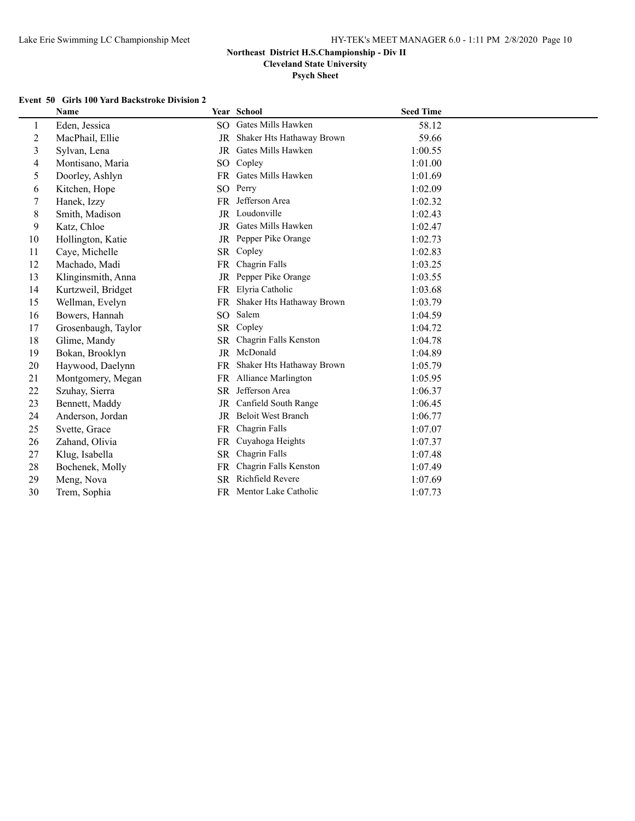**Cleveland State University**

**Psych Sheet**

### **Event 50 Girls 100 Yard Backstroke Division 2**

|                | <b>Name</b>         |           | Year School               | <b>Seed Time</b> |
|----------------|---------------------|-----------|---------------------------|------------------|
| 1              | Eden, Jessica       | SO        | Gates Mills Hawken        | 58.12            |
| $\overline{2}$ | MacPhail, Ellie     | JR        | Shaker Hts Hathaway Brown | 59.66            |
| $\overline{3}$ | Sylvan, Lena        | JR        | Gates Mills Hawken        | 1:00.55          |
| 4              | Montisano, Maria    | SO.       | Copley                    | 1:01.00          |
| 5              | Doorley, Ashlyn     | FR.       | Gates Mills Hawken        | 1:01.69          |
| 6              | Kitchen, Hope       | SO.       | Perry                     | 1:02.09          |
| $\tau$         | Hanek, Izzy         | FR        | Jefferson Area            | 1:02.32          |
| $\,8\,$        | Smith, Madison      |           | JR Loudonville            | 1:02.43          |
| 9              | Katz, Chloe         | JR        | Gates Mills Hawken        | 1:02.47          |
| 10             | Hollington, Katie   |           | JR Pepper Pike Orange     | 1:02.73          |
| 11             | Caye, Michelle      |           | SR Copley                 | 1:02.83          |
| 12             | Machado, Madi       | FR        | Chagrin Falls             | 1:03.25          |
| 13             | Klinginsmith, Anna  | JR        | Pepper Pike Orange        | 1:03.55          |
| 14             | Kurtzweil, Bridget  | FR.       | Elyria Catholic           | 1:03.68          |
| 15             | Wellman, Evelyn     | <b>FR</b> | Shaker Hts Hathaway Brown | 1:03.79          |
| 16             | Bowers, Hannah      | SO.       | Salem                     | 1:04.59          |
| 17             | Grosenbaugh, Taylor | <b>SR</b> | Copley                    | 1:04.72          |
| 18             | Glime, Mandy        | <b>SR</b> | Chagrin Falls Kenston     | 1:04.78          |
| 19             | Bokan, Brooklyn     |           | JR McDonald               | 1:04.89          |
| 20             | Haywood, Daelynn    | FR.       | Shaker Hts Hathaway Brown | 1:05.79          |
| 21             | Montgomery, Megan   | FR.       | Alliance Marlington       | 1:05.95          |
| 22             | Szuhay, Sierra      | SR.       | Jefferson Area            | 1:06.37          |
| 23             | Bennett, Maddy      | JR        | Canfield South Range      | 1:06.45          |
| 24             | Anderson, Jordan    | <b>JR</b> | <b>Beloit West Branch</b> | 1:06.77          |
| 25             | Svette, Grace       | FR        | Chagrin Falls             | 1:07.07          |
| 26             | Zahand, Olivia      | FR        | Cuyahoga Heights          | 1:07.37          |
| 27             | Klug, Isabella      | <b>SR</b> | Chagrin Falls             | 1:07.48          |
| 28             | Bochenek, Molly     | FR        | Chagrin Falls Kenston     | 1:07.49          |
| 29             | Meng, Nova          | <b>SR</b> | Richfield Revere          | 1:07.69          |
| 30             | Trem, Sophia        |           | FR Mentor Lake Catholic   | 1:07.73          |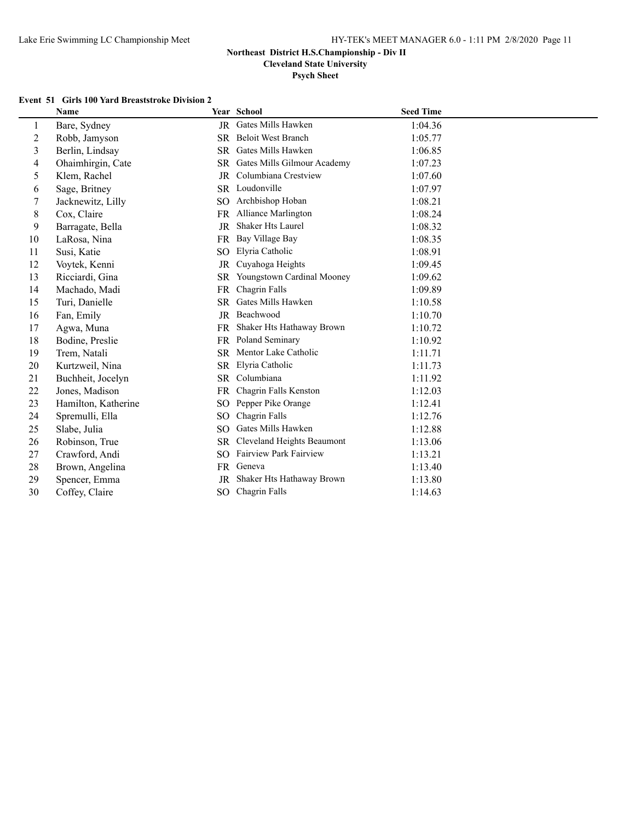**Cleveland State University**

**Psych Sheet**

### **Event 51 Girls 100 Yard Breaststroke Division 2**

|                | <b>Name</b>         |           | Year School                    | <b>Seed Time</b> |
|----------------|---------------------|-----------|--------------------------------|------------------|
| 1              | Bare, Sydney        |           | JR Gates Mills Hawken          | 1:04.36          |
| $\overline{c}$ | Robb, Jamyson       |           | SR Beloit West Branch          | 1:05.77          |
| $\mathfrak{Z}$ | Berlin, Lindsay     | SR.       | Gates Mills Hawken             | 1:06.85          |
| 4              | Ohaimhirgin, Cate   |           | SR Gates Mills Gilmour Academy | 1:07.23          |
| 5              | Klem, Rachel        |           | JR Columbiana Crestview        | 1:07.60          |
| 6              | Sage, Britney       |           | SR Loudonville                 | 1:07.97          |
| 7              | Jacknewitz, Lilly   | SO.       | Archbishop Hoban               | 1:08.21          |
| 8              | Cox, Claire         |           | FR Alliance Marlington         | 1:08.24          |
| 9              | Barragate, Bella    | JR        | Shaker Hts Laurel              | 1:08.32          |
| 10             | LaRosa, Nina        |           | FR Bay Village Bay             | 1:08.35          |
| 11             | Susi, Katie         | SO        | Elyria Catholic                | 1:08.91          |
| 12             | Voytek, Kenni       | JR        | Cuyahoga Heights               | 1:09.45          |
| 13             | Ricciardi, Gina     | SR.       | Youngstown Cardinal Mooney     | 1:09.62          |
| 14             | Machado, Madi       | FR.       | Chagrin Falls                  | 1:09.89          |
| 15             | Turi, Danielle      | <b>SR</b> | Gates Mills Hawken             | 1:10.58          |
| 16             | Fan, Emily          |           | JR Beachwood                   | 1:10.70          |
| 17             | Agwa, Muna          | FR.       | Shaker Hts Hathaway Brown      | 1:10.72          |
| 18             | Bodine, Preslie     | FR        | Poland Seminary                | 1:10.92          |
| 19             | Trem, Natali        |           | SR Mentor Lake Catholic        | 1:11.71          |
| 20             | Kurtzweil, Nina     | SR        | Elyria Catholic                | 1:11.73          |
| 21             | Buchheit, Jocelyn   | SR        | Columbiana                     | 1:11.92          |
| 22             | Jones, Madison      | FR        | Chagrin Falls Kenston          | 1:12.03          |
| 23             | Hamilton, Katherine | SO.       | Pepper Pike Orange             | 1:12.41          |
| 24             | Spremulli, Ella     | SO.       | Chagrin Falls                  | 1:12.76          |
| 25             | Slabe, Julia        | SO.       | Gates Mills Hawken             | 1:12.88          |
| 26             | Robinson, True      | <b>SR</b> | Cleveland Heights Beaumont     | 1:13.06          |
| 27             | Crawford, Andi      | SO.       | Fairview Park Fairview         | 1:13.21          |
| 28             | Brown, Angelina     | FR.       | Geneva                         | 1:13.40          |
| 29             | Spencer, Emma       | JR        | Shaker Hts Hathaway Brown      | 1:13.80          |
| 30             | Coffey, Claire      | SO        | Chagrin Falls                  | 1:14.63          |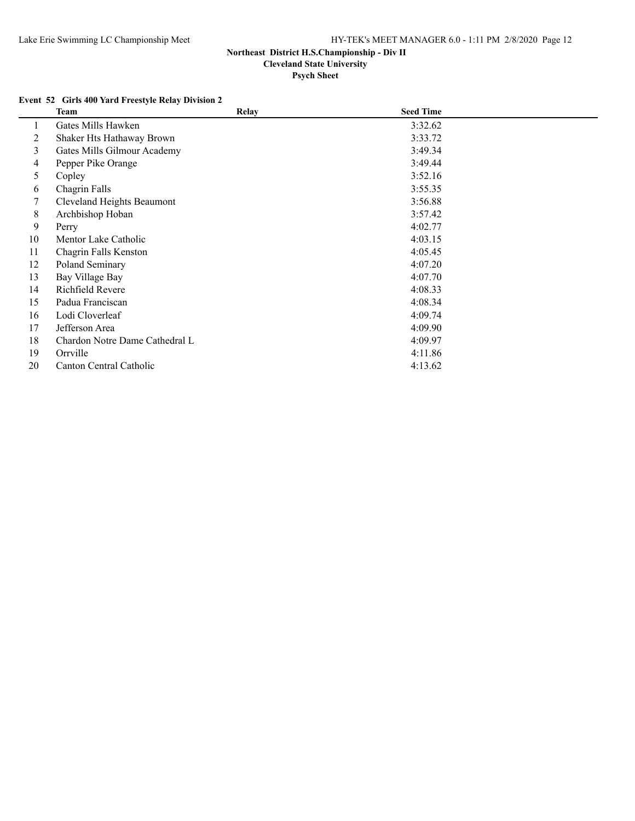**Cleveland State University**

**Psych Sheet**

### **Event 52 Girls 400 Yard Freestyle Relay Division 2**

|    | <b>Team</b>                    | <b>Relay</b> | <b>Seed Time</b> |  |
|----|--------------------------------|--------------|------------------|--|
|    | Gates Mills Hawken             |              | 3:32.62          |  |
| 2  | Shaker Hts Hathaway Brown      |              | 3:33.72          |  |
| 3  | Gates Mills Gilmour Academy    |              | 3:49.34          |  |
| 4  | Pepper Pike Orange             |              | 3:49.44          |  |
| 5  | Copley                         |              | 3:52.16          |  |
| 6  | Chagrin Falls                  |              | 3:55.35          |  |
| 7  | Cleveland Heights Beaumont     |              | 3:56.88          |  |
| 8  | Archbishop Hoban               |              | 3:57.42          |  |
| 9  | Perry                          |              | 4:02.77          |  |
| 10 | Mentor Lake Catholic           |              | 4:03.15          |  |
| 11 | Chagrin Falls Kenston          |              | 4:05.45          |  |
| 12 | Poland Seminary                |              | 4:07.20          |  |
| 13 | Bay Village Bay                |              | 4:07.70          |  |
| 14 | Richfield Revere               |              | 4:08.33          |  |
| 15 | Padua Franciscan               |              | 4:08.34          |  |
| 16 | Lodi Cloverleaf                |              | 4:09.74          |  |
| 17 | Jefferson Area                 |              | 4:09.90          |  |
| 18 | Chardon Notre Dame Cathedral L |              | 4:09.97          |  |
| 19 | Orrville                       |              | 4:11.86          |  |
| 20 | Canton Central Catholic        |              | 4:13.62          |  |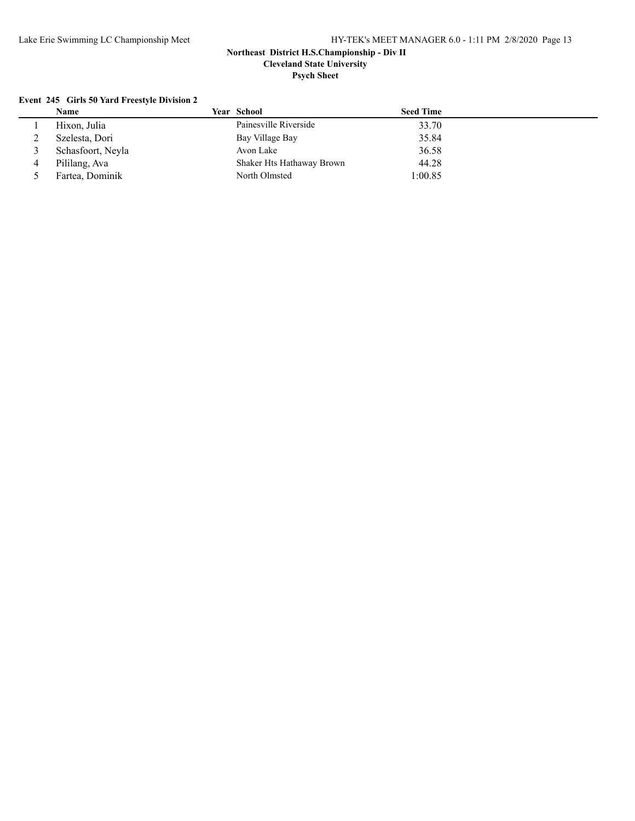**Psych Sheet**

### **Event 245 Girls 50 Yard Freestyle Division 2**

| Name              | Year School               | <b>Seed Time</b> |  |
|-------------------|---------------------------|------------------|--|
| Hixon, Julia      | Painesville Riverside     | 33.70            |  |
| Szelesta, Dori    | Bay Village Bay           | 35.84            |  |
| Schasfoort, Neyla | Avon Lake                 | 36.58            |  |
| Pililang, Ava     | Shaker Hts Hathaway Brown | 44.28            |  |
| Fartea, Dominik   | North Olmsted             | 1:00.85          |  |